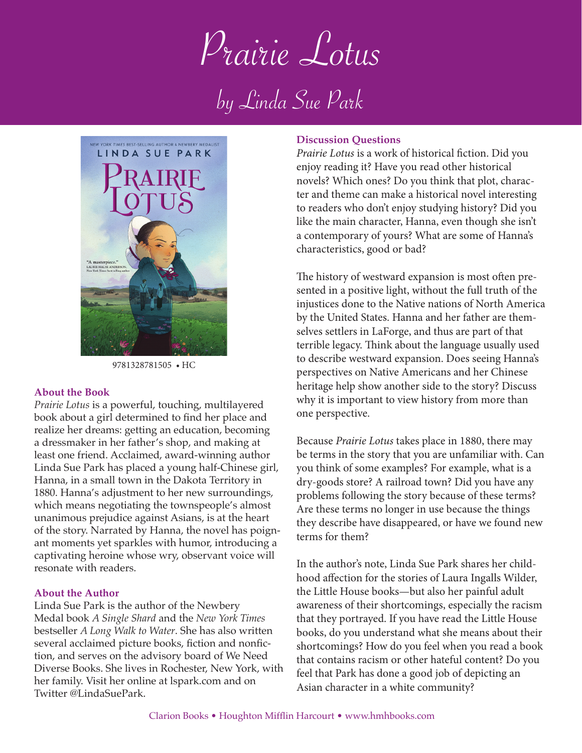Prairie Lotus Prairie Lotus

by Linda Sue Park by Linda Sue Park



9781328781505 • HC

#### **About the Book**

*Prairie Lotus* is a powerful, touching, multilayered book about a girl determined to find her place and realize her dreams: getting an education, becoming a dressmaker in her father's shop, and making at least one friend. Acclaimed, award-winning author Linda Sue Park has placed a young half-Chinese girl, Hanna, in a small town in the Dakota Territory in 1880. Hanna's adjustment to her new surroundings, which means negotiating the townspeople's almost unanimous prejudice against Asians, is at the heart of the story. Narrated by Hanna, the novel has poignant moments yet sparkles with humor, introducing a captivating heroine whose wry, observant voice will resonate with readers.

### **About the Author**

Linda Sue Park is the author of the Newbery Medal book *A Single Shard* and the *New York Times* bestseller *A Long Walk to Water*. She has also written several acclaimed picture books, fiction and nonfiction, and serves on the advisory board of We Need Diverse Books. She lives in Rochester, New York, with her family. Visit her online at lspark.com and on Twitter @LindaSuePark.

### **Discussion Questions**

*Prairie Lotus* is a work of historical fiction. Did you enjoy reading it? Have you read other historical novels? Which ones? Do you think that plot, character and theme can make a historical novel interesting to readers who don't enjoy studying history? Did you like the main character, Hanna, even though she isn't a contemporary of yours? What are some of Hanna's characteristics, good or bad?

The history of westward expansion is most often presented in a positive light, without the full truth of the injustices done to the Native nations of North America by the United States. Hanna and her father are themselves settlers in LaForge, and thus are part of that terrible legacy. Think about the language usually used to describe westward expansion. Does seeing Hanna's perspectives on Native Americans and her Chinese heritage help show another side to the story? Discuss why it is important to view history from more than one perspective.

Because *Prairie Lotus* takes place in 1880, there may be terms in the story that you are unfamiliar with. Can you think of some examples? For example, what is a dry-goods store? A railroad town? Did you have any problems following the story because of these terms? Are these terms no longer in use because the things they describe have disappeared, or have we found new terms for them?

In the author's note, Linda Sue Park shares her childhood affection for the stories of Laura Ingalls Wilder, the Little House books—but also her painful adult awareness of their shortcomings, especially the racism that they portrayed. If you have read the Little House books, do you understand what she means about their shortcomings? How do you feel when you read a book that contains racism or other hateful content? Do you feel that Park has done a good job of depicting an Asian character in a white community?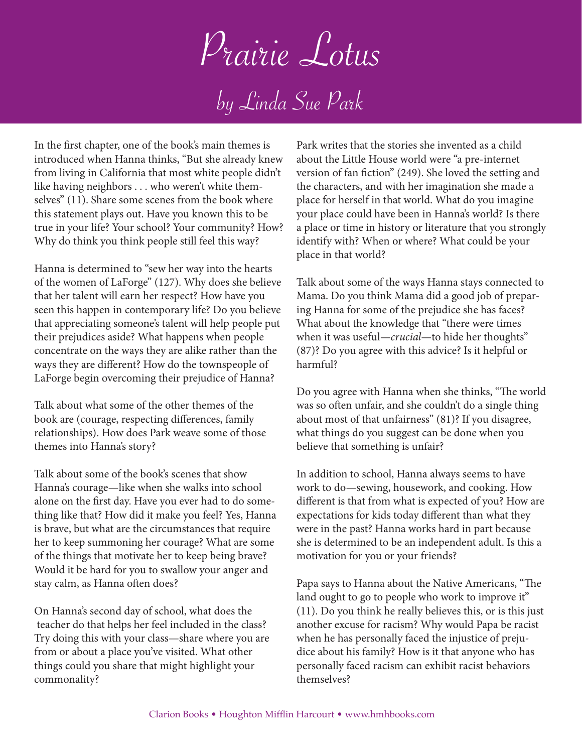Prairie Lotus

by Linda Sue Park

In the first chapter, one of the book's main themes is introduced when Hanna thinks, "But she already knew from living in California that most white people didn't like having neighbors . . . who weren't white themselves" (11). Share some scenes from the book where this statement plays out. Have you known this to be true in your life? Your school? Your community? How? Why do think you think people still feel this way?

Hanna is determined to "sew her way into the hearts of the women of LaForge" (127). Why does she believe that her talent will earn her respect? How have you seen this happen in contemporary life? Do you believe that appreciating someone's talent will help people put their prejudices aside? What happens when people concentrate on the ways they are alike rather than the ways they are different? How do the townspeople of LaForge begin overcoming their prejudice of Hanna?

Talk about what some of the other themes of the book are (courage, respecting differences, family relationships). How does Park weave some of those themes into Hanna's story?

Talk about some of the book's scenes that show Hanna's courage—like when she walks into school alone on the first day. Have you ever had to do something like that? How did it make you feel? Yes, Hanna is brave, but what are the circumstances that require her to keep summoning her courage? What are some of the things that motivate her to keep being brave? Would it be hard for you to swallow your anger and stay calm, as Hanna often does?

On Hanna's second day of school, what does the teacher do that helps her feel included in the class? Try doing this with your class—share where you are from or about a place you've visited. What other things could you share that might highlight your commonality?

Park writes that the stories she invented as a child about the Little House world were "a pre-internet version of fan fiction" (249). She loved the setting and the characters, and with her imagination she made a place for herself in that world. What do you imagine your place could have been in Hanna's world? Is there a place or time in history or literature that you strongly identify with? When or where? What could be your place in that world?

Talk about some of the ways Hanna stays connected to Mama. Do you think Mama did a good job of preparing Hanna for some of the prejudice she has faces? What about the knowledge that "there were times when it was useful—*crucial*—to hide her thoughts" (87)? Do you agree with this advice? Is it helpful or harmful?

Do you agree with Hanna when she thinks, "The world was so often unfair, and she couldn't do a single thing about most of that unfairness" (81)? If you disagree, what things do you suggest can be done when you believe that something is unfair?

In addition to school, Hanna always seems to have work to do—sewing, housework, and cooking. How different is that from what is expected of you? How are expectations for kids today different than what they were in the past? Hanna works hard in part because she is determined to be an independent adult. Is this a motivation for you or your friends?

Papa says to Hanna about the Native Americans, "The land ought to go to people who work to improve it" (11). Do you think he really believes this, or is this just another excuse for racism? Why would Papa be racist when he has personally faced the injustice of prejudice about his family? How is it that anyone who has personally faced racism can exhibit racist behaviors themselves?